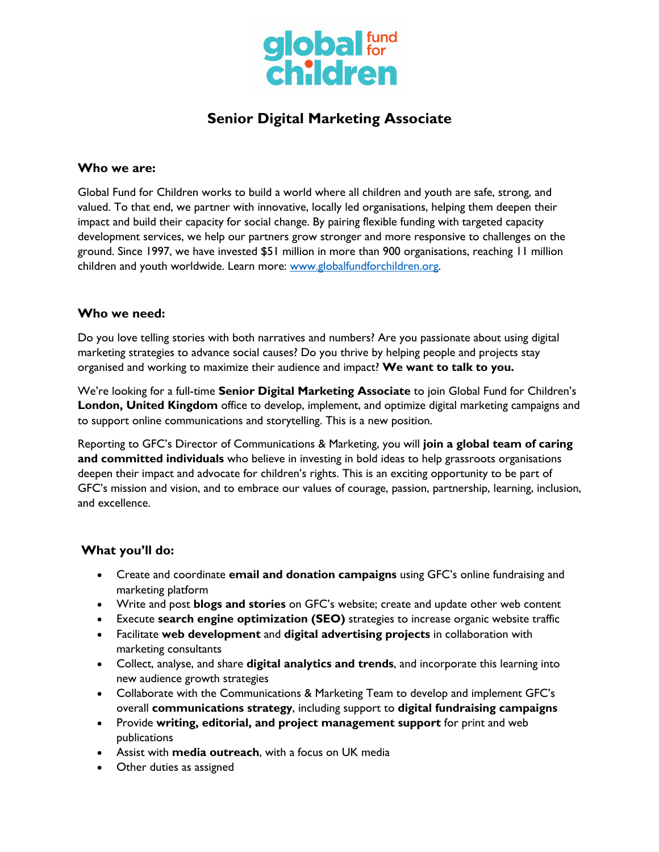

# **Senior Digital Marketing Associate**

#### **Who we are:**

Global Fund for Children works to build a world where all children and youth are safe, strong, and valued. To that end, we partner with innovative, locally led organisations, helping them deepen their impact and build their capacity for social change. By pairing flexible funding with targeted capacity development services, we help our partners grow stronger and more responsive to challenges on the ground. Since 1997, we have invested \$51 million in more than 900 organisations, reaching 11 million children and youth worldwide. Learn more: www.globalfundforchildren.org.

### **Who we need:**

Do you love telling stories with both narratives and numbers? Are you passionate about using digital marketing strategies to advance social causes? Do you thrive by helping people and projects stay organised and working to maximize their audience and impact? **We want to talk to you.**

We're looking for a full-time **Senior Digital Marketing Associate** to join Global Fund for Children's **London, United Kingdom** office to develop, implement, and optimize digital marketing campaigns and to support online communications and storytelling. This is a new position.

Reporting to GFC's Director of Communications & Marketing, you will **join a global team of caring and committed individuals** who believe in investing in bold ideas to help grassroots organisations deepen their impact and advocate for children's rights. This is an exciting opportunity to be part of GFC's mission and vision, and to embrace our values of courage, passion, partnership, learning, inclusion, and excellence.

## **What you'll do:**

- Create and coordinate **email and donation campaigns** using GFC's online fundraising and marketing platform
- Write and post **blogs and stories** on GFC's website; create and update other web content
- Execute **search engine optimization (SEO)** strategies to increase organic website traffic
- Facilitate **web development** and **digital advertising projects** in collaboration with marketing consultants
- Collect, analyse, and share **digital analytics and trends**, and incorporate this learning into new audience growth strategies
- Collaborate with the Communications & Marketing Team to develop and implement GFC's overall **communications strategy**, including support to **digital fundraising campaigns**
- Provide **writing, editorial, and project management support** for print and web publications
- Assist with **media outreach**, with a focus on UK media
- Other duties as assigned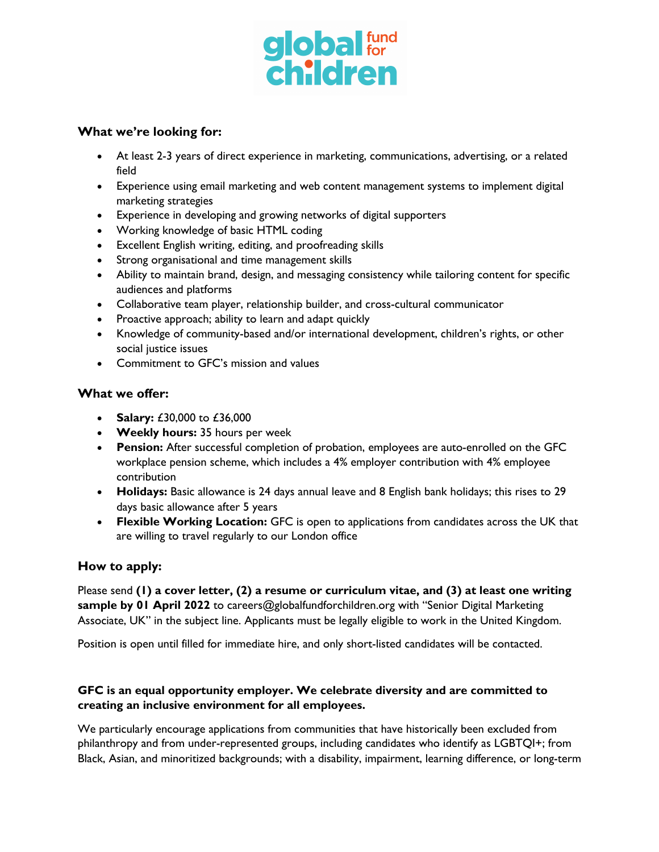

#### **What we're looking for:**

- At least 2-3 years of direct experience in marketing, communications, advertising, or a related field
- Experience using email marketing and web content management systems to implement digital marketing strategies
- Experience in developing and growing networks of digital supporters
- Working knowledge of basic HTML coding
- Excellent English writing, editing, and proofreading skills
- Strong organisational and time management skills
- Ability to maintain brand, design, and messaging consistency while tailoring content for specific audiences and platforms
- Collaborative team player, relationship builder, and cross-cultural communicator
- Proactive approach; ability to learn and adapt quickly
- Knowledge of community-based and/or international development, children's rights, or other social justice issues
- Commitment to GFC's mission and values

### **What we offer:**

- **Salary:** £30,000 to £36,000
- **Weekly hours:** 35 hours per week
- **Pension:** After successful completion of probation, employees are auto-enrolled on the GFC workplace pension scheme, which includes a 4% employer contribution with 4% employee contribution
- **Holidays:** Basic allowance is 24 days annual leave and 8 English bank holidays; this rises to 29 days basic allowance after 5 years
- **Flexible Working Location:** GFC is open to applications from candidates across the UK that are willing to travel regularly to our London office

## **How to apply:**

Please send **(1) a cover letter, (2) a resume or curriculum vitae, and (3) at least one writing sample by 01 April 2022** to careers@globalfundforchildren.org with "Senior Digital Marketing Associate, UK" in the subject line. Applicants must be legally eligible to work in the United Kingdom.

Position is open until filled for immediate hire, and only short-listed candidates will be contacted.

### **GFC is an equal opportunity employer. We celebrate diversity and are committed to creating an inclusive environment for all employees.**

We particularly encourage applications from communities that have historically been excluded from philanthropy and from under-represented groups, including candidates who identify as LGBTQI+; from Black, Asian, and minoritized backgrounds; with a disability, impairment, learning difference, or long-term